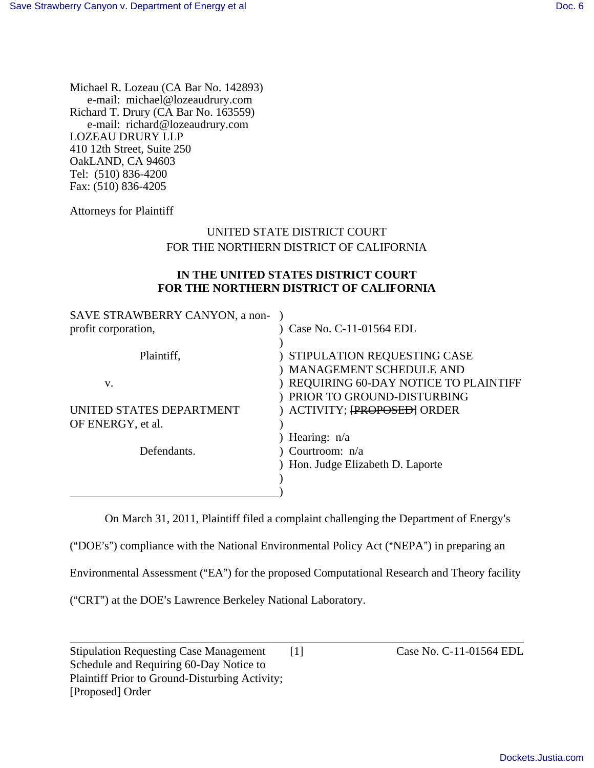Michael R. Lozeau (CA Bar No. 142893) e-mail: michael@lozeaudrury.com Richard T. Drury (CA Bar No. 163559) e-mail: richard@lozeaudrury.com LOZEAU DRURY LLP 410 12th Street, Suite 250 OakLAND, CA 94603 Tel: (510) 836-4200 Fax: (510) 836-4205

Attorneys for Plaintiff

# UNITED STATE DISTRICT COURT FOR THE NORTHERN DISTRICT OF CALIFORNIA

## **IN THE UNITED STATES DISTRICT COURT FOR THE NORTHERN DISTRICT OF CALIFORNIA**

| SAVE STRAWBERRY CANYON, a non- |                                         |
|--------------------------------|-----------------------------------------|
| profit corporation,            | Case No. C-11-01564 EDL                 |
|                                |                                         |
| Plaintiff,                     | ) STIPULATION REQUESTING CASE           |
|                                | ) MANAGEMENT SCHEDULE AND               |
| V.                             | ) REQUIRING 60-DAY NOTICE TO PLAINTIFF  |
|                                | ) PRIOR TO GROUND-DISTURBING            |
| UNITED STATES DEPARTMENT       | ) ACTIVITY; <del>[PROPOSED]</del> ORDER |
| OF ENERGY, et al.              |                                         |
|                                | ) Hearing: $n/a$                        |
| Defendants.                    | Courtroom: n/a                          |
|                                | ) Hon. Judge Elizabeth D. Laporte       |
|                                |                                         |
|                                |                                         |

On March 31, 2011, Plaintiff filed a complaint challenging the Department of Energy's

("DOE's") compliance with the National Environmental Policy Act ("NEPA") in preparing an

Environmental Assessment ("EA") for the proposed Computational Research and Theory facility

("CRT") at the DOE's Lawrence Berkeley National Laboratory.

l Stipulation Requesting Case Management [1] Case No. C-11-01564 EDL Schedule and Requiring 60-Day Notice to Plaintiff Prior to Ground-Disturbing Activity; [Proposed] Order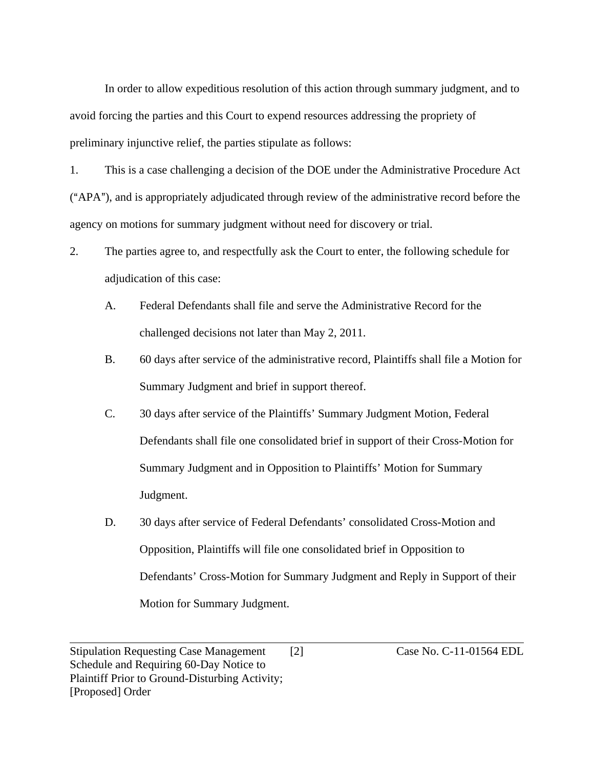In order to allow expeditious resolution of this action through summary judgment, and to avoid forcing the parties and this Court to expend resources addressing the propriety of preliminary injunctive relief, the parties stipulate as follows:

1. This is a case challenging a decision of the DOE under the Administrative Procedure Act ("APA"), and is appropriately adjudicated through review of the administrative record before the agency on motions for summary judgment without need for discovery or trial.

- 2. The parties agree to, and respectfully ask the Court to enter, the following schedule for adjudication of this case:
	- A. Federal Defendants shall file and serve the Administrative Record for the challenged decisions not later than May 2, 2011.
	- B. 60 days after service of the administrative record, Plaintiffs shall file a Motion for Summary Judgment and brief in support thereof.
	- C. 30 days after service of the Plaintiffs' Summary Judgment Motion, Federal Defendants shall file one consolidated brief in support of their Cross-Motion for Summary Judgment and in Opposition to Plaintiffs' Motion for Summary Judgment.
	- D. 30 days after service of Federal Defendants' consolidated Cross-Motion and Opposition, Plaintiffs will file one consolidated brief in Opposition to Defendants' Cross-Motion for Summary Judgment and Reply in Support of their Motion for Summary Judgment.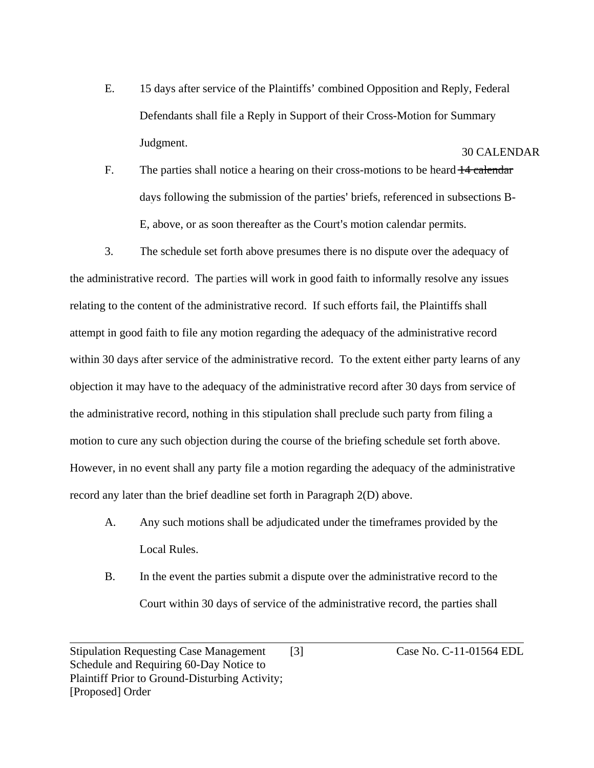- E. 15 days after service of the Plaintiffs' combined Opposition and Reply, Federal Defendants shall file a Reply in Support of their Cross-Motion for Summary Judgment. 30 CALENDAR
- F. The parties shall notice a hearing on their cross-motions to be heard  $\frac{14 \text{ calendar}}{14 \text{ calendar}}$ days following the submission of the parties' briefs, referenced in subsections B-E, above, or as soon thereafter as the Court's motion calendar permits.

3. The schedule set forth above presumes there is no dispute over the adequacy of the administrative record. The parties will work in good faith to informally resolve any issues relating to the content of the administrative record. If such efforts fail, the Plaintiffs shall attempt in good faith to file any motion regarding the adequacy of the administrative record within 30 days after service of the administrative record. To the extent either party learns of any objection it may have to the adequacy of the administrative record after 30 days from service of the administrative record, nothing in this stipulation shall preclude such party from filing a motion to cure any such objection during the course of the briefing schedule set forth above. However, in no event shall any party file a motion regarding the adequacy of the administrative record any later than the brief deadline set forth in Paragraph 2(D) above.

- A. Any such motions shall be adjudicated under the timeframes provided by the Local Rules.
- B. In the event the parties submit a dispute over the administrative record to the Court within 30 days of service of the administrative record, the parties shall

l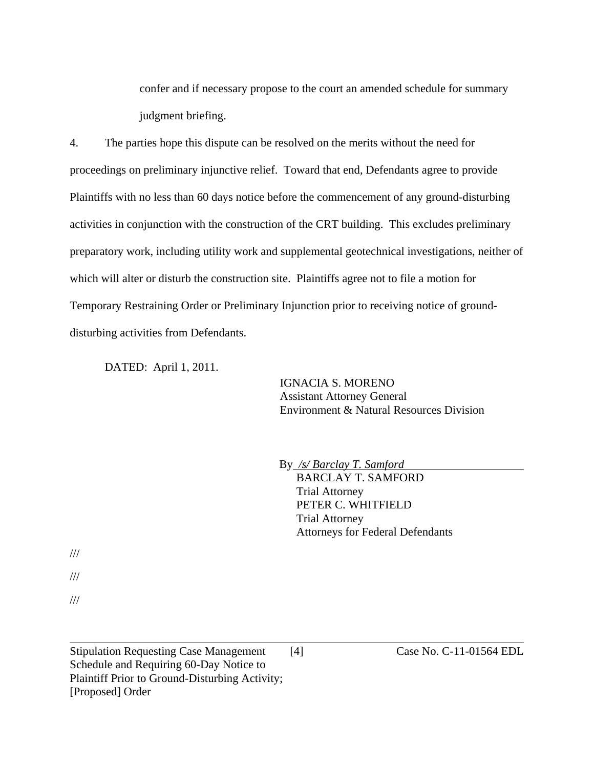confer and if necessary propose to the court an amended schedule for summary judgment briefing.

4. The parties hope this dispute can be resolved on the merits without the need for proceedings on preliminary injunctive relief. Toward that end, Defendants agree to provide Plaintiffs with no less than 60 days notice before the commencement of any ground-disturbing activities in conjunction with the construction of the CRT building. This excludes preliminary preparatory work, including utility work and supplemental geotechnical investigations, neither of which will alter or disturb the construction site. Plaintiffs agree not to file a motion for Temporary Restraining Order or Preliminary Injunction prior to receiving notice of grounddisturbing activities from Defendants.

DATED: April 1, 2011.

IGNACIA S. MORENO Assistant Attorney General Environment & Natural Resources Division

By */s/ Barclay T. Samford*

BARCLAY T. SAMFORD Trial Attorney PETER C. WHITFIELD Trial Attorney Attorneys for Federal Defendants

///

///

///

l

Stipulation Requesting Case Management [4] Case No. C-11-01564 EDL Schedule and Requiring 60-Day Notice to Plaintiff Prior to Ground-Disturbing Activity; [Proposed] Order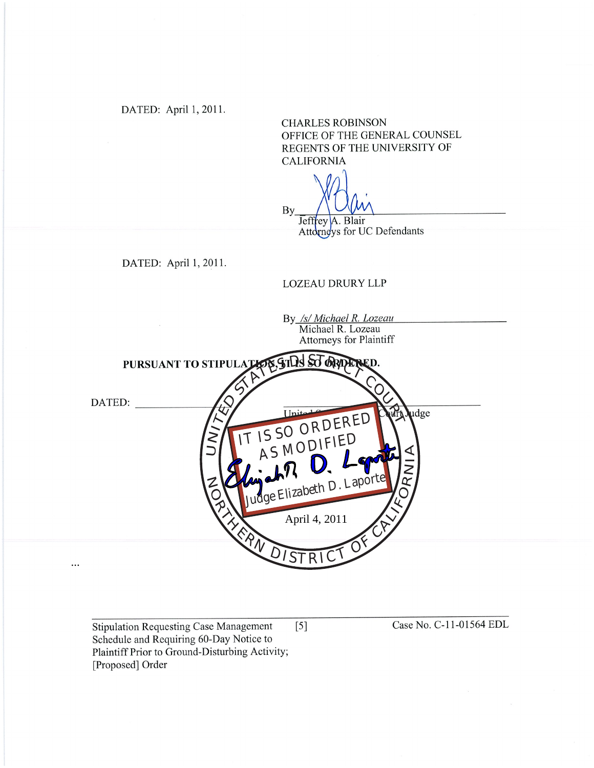DATED: April 1, 2011.

**CHARLES ROBINSON** OFFICE OF THE GENERAL COUNSEL REGENTS OF THE UNIVERSITY OF **CALIFORNIA** 

By

Jeffrey A. Blair Attorneys for UC Defendants

DATED: April 1, 2011.

#### **LOZEAU DRURY LLP**

By /s/ Michael R. Lozeau<br>Michael R. Lozeau **Attorneys for Plaintiff** N. ATIDESTORDE PURSUANT TO STIPULAT DATED: IT IS SO ORDERED udge AS MODIFIED Judge Elizabeth D. Laporte April 4, 2011 ISTRIC  $\ddotsc$ 

**Stipulation Requesting Case Management**  $\lceil 5 \rceil$ Schedule and Requiring 60-Day Notice to Plaintiff Prior to Ground-Disturbing Activity; [Proposed] Order

Case No. C-11-01564 EDL